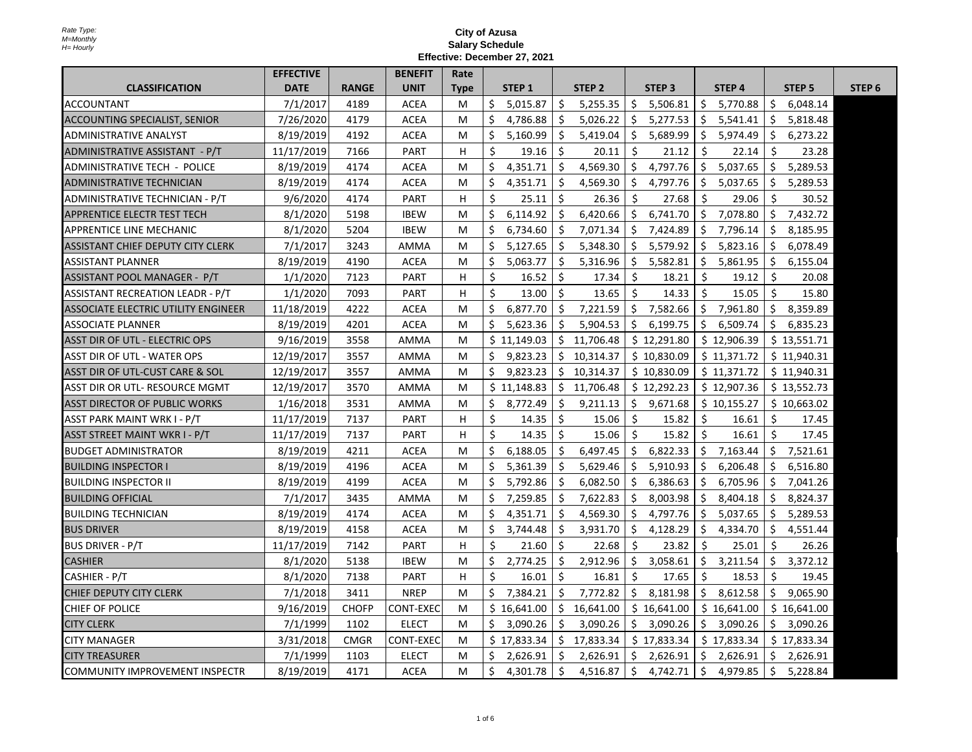|                                      | <b>EFFECTIVE</b> |              | <b>BENEFIT</b>   | Rate        |     |                   |    |                   |                   |     |                   |    |               |                   |
|--------------------------------------|------------------|--------------|------------------|-------------|-----|-------------------|----|-------------------|-------------------|-----|-------------------|----|---------------|-------------------|
| <b>CLASSIFICATION</b>                | <b>DATE</b>      | <b>RANGE</b> | <b>UNIT</b>      | <b>Type</b> |     | STEP <sub>1</sub> |    | STEP <sub>2</sub> | STEP <sub>3</sub> |     | STEP <sub>4</sub> |    | <b>STEP 5</b> | STEP <sub>6</sub> |
| <b>ACCOUNTANT</b>                    | 7/1/2017         | 4189         | <b>ACEA</b>      | М           | \$  | 5,015.87          | \$ | 5,255.35          | \$<br>5,506.81    | \$  | 5,770.88          | \$ | 6,048.14      |                   |
| <b>ACCOUNTING SPECIALIST, SENIOR</b> | 7/26/2020        | 4179         | <b>ACEA</b>      | М           | \$  | 4,786.88          | \$ | 5,026.22          | \$.<br>5,277.53   | \$  | 5,541.41          | \$ | 5,818.48      |                   |
| <b>ADMINISTRATIVE ANALYST</b>        | 8/19/2019        | 4192         | <b>ACEA</b>      | M           | Ś.  | 5,160.99          | Ŝ. | 5,419.04          | Ŝ.<br>5,689.99    | Ŝ.  | 5,974.49          | Ŝ. | 6,273.22      |                   |
| ADMINISTRATIVE ASSISTANT - P/T       | 11/17/2019       | 7166         | <b>PART</b>      | H           | Ś.  | 19.16             | Ŝ. | 20.11             | Ŝ.<br>21.12       | Ŝ.  | 22.14             | Ŝ. | 23.28         |                   |
| ADMINISTRATIVE TECH - POLICE         | 8/19/2019        | 4174         | <b>ACEA</b>      | М           | \$  | 4,351.71          | \$ | 4,569.30          | 4,797.76<br>\$    | Ŝ.  | 5,037.65          | \$ | 5,289.53      |                   |
| <b>ADMINISTRATIVE TECHNICIAN</b>     | 8/19/2019        | 4174         | <b>ACEA</b>      | М           | \$  | 4,351.71          | \$ | 4,569.30          | \$<br>4,797.76    | Ŝ.  | 5,037.65          | \$ | 5,289.53      |                   |
| ADMINISTRATIVE TECHNICIAN - P/T      | 9/6/2020         | 4174         | <b>PART</b>      | H           | \$  | 25.11             | \$ | 26.36             | Ś.<br>27.68       | Ŝ.  | 29.06             | Ŝ. | 30.52         |                   |
| APPRENTICE ELECTR TEST TECH          | 8/1/2020         | 5198         | <b>IBEW</b>      | М           | Ŝ.  | 6,114.92          | \$ | 6,420.66          | \$<br>6,741.70    | \$  | 7,078.80          | \$ | 7,432.72      |                   |
| APPRENTICE LINE MECHANIC             | 8/1/2020         | 5204         | <b>IBEW</b>      | М           | Ŝ.  | 6,734.60          | \$ | 7,071.34          | Ŝ.<br>7,424.89    | Ś.  | 7,796.14          | Ŝ. | 8,185.95      |                   |
| ASSISTANT CHIEF DEPUTY CITY CLERK    | 7/1/2017         | 3243         | AMMA             | M           | Ŝ.  | 5,127.65          | \$ | 5,348.30          | \$<br>5,579.92    | Ŝ.  | 5,823.16          | \$ | 6,078.49      |                   |
| <b>ASSISTANT PLANNER</b>             | 8/19/2019        | 4190         | <b>ACEA</b>      | М           | \$  | 5,063.77          | \$ | 5,316.96          | \$<br>5,582.81    | \$. | 5,861.95          | \$ | 6,155.04      |                   |
| ASSISTANT POOL MANAGER - P/T         | 1/1/2020         | 7123         | <b>PART</b>      | H           | \$  | 16.52             | \$ | 17.34             | Ŝ.<br>18.21       | Ś.  | 19.12             | \$ | 20.08         |                   |
| ASSISTANT RECREATION LEADR - P/T     | 1/1/2020         | 7093         | <b>PART</b>      | H           | Ś.  | 13.00             | Ŝ. | 13.65             | Ŝ.<br>14.33       | Ŝ.  | 15.05             | -Ś | 15.80         |                   |
| ASSOCIATE ELECTRIC UTILITY ENGINEER  | 11/18/2019       | 4222         | <b>ACEA</b>      | М           | \$  | 6,877.70          | \$ | 7,221.59          | \$<br>7,582.66    | Ŝ.  | 7,961.80          | \$ | 8,359.89      |                   |
| <b>ASSOCIATE PLANNER</b>             | 8/19/2019        | 4201         | <b>ACEA</b>      | М           | Ś.  | 5,623.36          | Ŝ. | 5,904.53          | Ŝ.<br>6,199.75    | Ŝ.  | 6,509.74          | Ŝ. | 6,835.23      |                   |
| ASST DIR OF UTL - ELECTRIC OPS       | 9/16/2019        | 3558         | AMMA             | M           |     | \$11,149.03       |    | \$11,706.48       | \$12,291.80       |     | \$12,906.39       |    | \$13,551.71   |                   |
| ASST DIR OF UTL - WATER OPS          | 12/19/2017       | 3557         | AMMA             | М           | \$  | 9,823.23          |    | \$10,314.37       | \$10,830.09       |     | \$11,371.72       |    | \$11,940.31   |                   |
| IASST DIR OF UTL-CUST CARE & SOL     | 12/19/2017       | 3557         | <b>AMMA</b>      | М           | Ś.  | 9,823.23          |    | \$10,314.37       | \$10,830.09       |     | \$11,371.72       |    | \$11,940.31   |                   |
| ASST DIR OR UTL- RESOURCE MGMT       | 12/19/2017       | 3570         | AMMA             | M           |     | \$11,148.83       |    | \$11,706.48       | \$12,292.23       |     | \$12,907.36       |    | \$13,552.73   |                   |
| ASST DIRECTOR OF PUBLIC WORKS        | 1/16/2018        | 3531         | AMMA             | М           | \$. | 8,772.49          | \$ | 9,211.13          | \$<br>9,671.68    |     | \$10,155.27       |    | \$10,663.02   |                   |
| ASST PARK MAINT WRK I - P/T          | 11/17/2019       | 7137         | <b>PART</b>      | H           | Ś.  | 14.35             | Ŝ. | 15.06             | Ŝ.<br>15.82       | Ŝ.  | 16.61             | Ŝ. | 17.45         |                   |
| <b>ASST STREET MAINT WKR I - P/T</b> | 11/17/2019       | 7137         | <b>PART</b>      | Н           | Ś.  | 14.35             | \$ | 15.06             | \$<br>15.82       | Ś.  | 16.61             | Ŝ. | 17.45         |                   |
| <b>BUDGET ADMINISTRATOR</b>          | 8/19/2019        | 4211         | <b>ACEA</b>      | M           | \$  | 6,188.05          | \$ | 6,497.45          | \$<br>6,822.33    |     | \$7,163.44        | Ŝ. | 7,521.61      |                   |
| BUILDING INSPECTOR I                 | 8/19/2019        | 4196         | <b>ACEA</b>      | M           | Ś.  | 5,361.39          | Ŝ. | 5,629.46          | Ŝ<br>5,910.93     | Ŝ.  | 6,206.48          | Ŝ. | 6,516.80      |                   |
| <b>BUILDING INSPECTOR II</b>         | 8/19/2019        | 4199         | <b>ACEA</b>      | М           | Ś.  | 5,792.86          | Ŝ. | 6,082.50          | Ŝ.<br>6,386.63    | Ŝ.  | 6,705.96          | Ŝ. | 7,041.26      |                   |
| <b>BUILDING OFFICIAL</b>             | 7/1/2017         | 3435         | AMMA             | М           | \$  | 7,259.85          | Ŝ. | 7,622.83          | Ŝ.<br>8,003.98    | Ŝ.  | 8,404.18          | Ŝ. | 8,824.37      |                   |
| <b>BUILDING TECHNICIAN</b>           | 8/19/2019        | 4174         | <b>ACEA</b>      | M           | Ś.  | 4,351.71          | Ŝ. | 4,569.30          | Ŝ.<br>4,797.76    | Ŝ.  | 5,037.65          | Ŝ. | 5,289.53      |                   |
| <b>BUS DRIVER</b>                    | 8/19/2019        | 4158         | <b>ACEA</b>      | М           | \$  | 3,744.48          | \$ | 3,931.70          | \$<br>4,128.29    | Ŝ.  | 4,334.70          | Ŝ. | 4,551.44      |                   |
| <b>BUS DRIVER - P/T</b>              | 11/17/2019       | 7142         | <b>PART</b>      | H           | \$  | 21.60             | \$ | 22.68             | Ŝ.<br>23.82       | Ŝ.  | 25.01             | Ŝ. | 26.26         |                   |
| <b>CASHIER</b>                       | 8/1/2020         | 5138         | <b>IBEW</b>      | М           | Ś.  | 2,774.25          | \$ | 2,912.96          | Ŝ.<br>3,058.61    | Ś.  | 3,211.54          | \$ | 3,372.12      |                   |
| CASHIER - P/T                        | 8/1/2020         | 7138         | <b>PART</b>      | H           | Ś.  | 16.01             | \$ | 16.81             | Ŝ.<br>17.65       | \$  | 18.53             | Ŝ. | 19.45         |                   |
| CHIEF DEPUTY CITY CLERK              | 7/1/2018         | 3411         | <b>NREP</b>      | м           | \$  | 7,384.21          | \$ | 7,772.82          | \$<br>8,181.98    | Ŝ.  | 8,612.58          | Ŝ. | 9,065.90      |                   |
| CHIEF OF POLICE                      | 9/16/2019        | <b>CHOFP</b> | <b>CONT-EXEC</b> | М           |     | \$16,641.00       | Ŝ. | 16,641.00         | \$16,641.00       |     | \$16,641.00       |    | \$16,641.00   |                   |
| <b>CITY CLERK</b>                    | 7/1/1999         | 1102         | <b>ELECT</b>     | M           | \$  | 3,090.26          | \$ | 3,090.26          | \$<br>3,090.26    | Ŝ.  | 3,090.26          | \$ | 3,090.26      |                   |
| <b>CITY MANAGER</b>                  | 3/31/2018        | <b>CMGR</b>  | <b>CONT-EXEC</b> | М           |     | \$17,833.34       | S. | 17,833.34         | \$17,833.34       |     | \$17,833.34       |    | \$17,833.34   |                   |
| <b>CITY TREASURER</b>                | 7/1/1999         | 1103         | <b>ELECT</b>     | М           | Ŝ.  | 2,626.91          | Ŝ. | 2,626.91          | Ŝ.<br>2,626.91    | Ŝ.  | 2,626.91          | Ŝ. | 2,626.91      |                   |
| COMMUNITY IMPROVEMENT INSPECTR       | 8/19/2019        | 4171         | <b>ACEA</b>      | M           | Ś.  | 4,301.78          | \$ | 4,516.87          | \$<br>4,742.71    | Ś.  | 4,979.85          | Ŝ. | 5,228.84      |                   |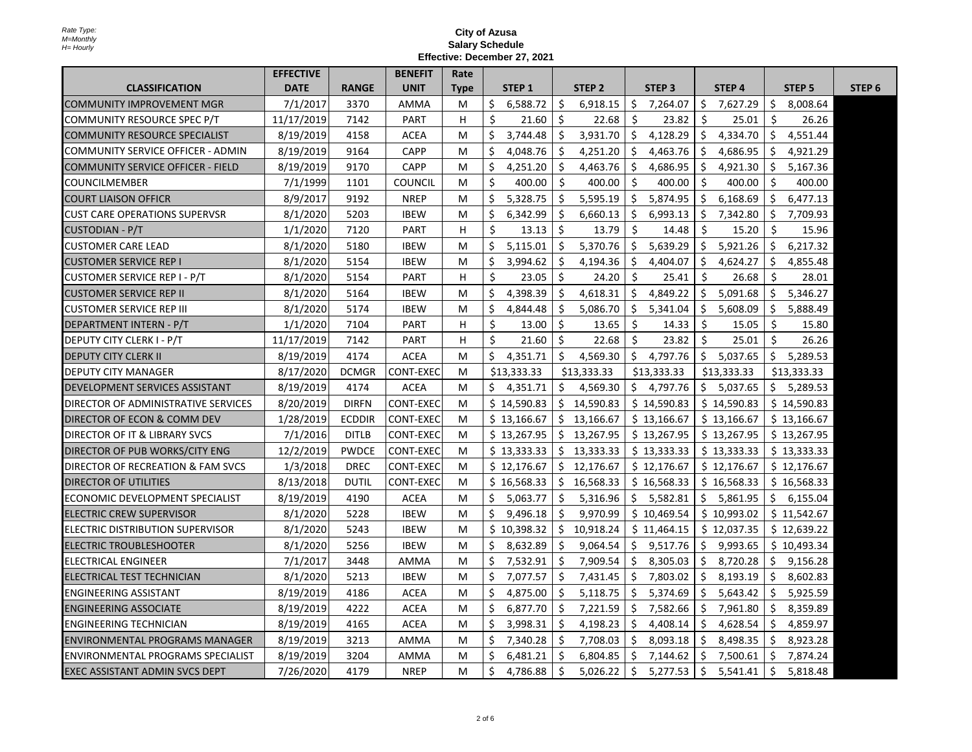|                                          | <b>EFFECTIVE</b> |               | <b>BENEFIT</b>   | Rate        |     |                   |    |                   |     |                   |     |                   |     |               |                   |
|------------------------------------------|------------------|---------------|------------------|-------------|-----|-------------------|----|-------------------|-----|-------------------|-----|-------------------|-----|---------------|-------------------|
| <b>CLASSIFICATION</b>                    | <b>DATE</b>      | <b>RANGE</b>  | <b>UNIT</b>      | <b>Type</b> |     | STEP <sub>1</sub> |    | STEP <sub>2</sub> |     | STEP <sub>3</sub> |     | STEP <sub>4</sub> |     | <b>STEP 5</b> | STEP <sub>6</sub> |
| COMMUNITY IMPROVEMENT MGR                | 7/1/2017         | 3370          | AMMA             | М           | \$  | 6,588.72          | \$ | 6,918.15          | \$  | 7,264.07          | \$  | 7,627.29          | \$  | 8,008.64      |                   |
| COMMUNITY RESOURCE SPEC P/T              | 11/17/2019       | 7142          | PART             | н           | \$  | 21.60             | Ŝ. | 22.68             | Ŝ.  | 23.82             | Ś.  | 25.01             | Ŝ.  | 26.26         |                   |
| COMMUNITY RESOURCE SPECIALIST            | 8/19/2019        | 4158          | <b>ACEA</b>      | м           | Ś.  | 3,744.48          | Ŝ. | 3,931.70          | Ś.  | 4,128.29          | Ś.  | 4,334.70          | Ŝ.  | 4,551.44      |                   |
| COMMUNITY SERVICE OFFICER - ADMIN        | 8/19/2019        | 9164          | CAPP             | M           | Ś.  | 4,048.76          | Ŝ. | 4,251.20          | Ŝ.  | 4,463.76          | Ŝ.  | 4,686.95          | Ŝ.  | 4,921.29      |                   |
| <b>COMMUNITY SERVICE OFFICER - FIELD</b> | 8/19/2019        | 9170          | <b>CAPP</b>      | м           | \$  | 4,251.20          | \$ | 4,463.76          | \$  | 4,686.95          | \$. | 4,921.30          | \$. | 5,167.36      |                   |
| COUNCILMEMBER                            | 7/1/1999         | 1101          | <b>COUNCIL</b>   | м           | Ś.  | 400.00            | \$ | 400.00            | \$  | 400.00            | Ŝ.  | 400.00            | Ŝ.  | 400.00        |                   |
| <b>COURT LIAISON OFFICR</b>              | 8/9/2017         | 9192          | <b>NREP</b>      | м           | Ś   | 5,328.75          | Ŝ. | 5,595.19          | \$  | 5,874.95          | \$  | 6,168.69          | \$  | 6,477.13      |                   |
| <b>CUST CARE OPERATIONS SUPERVSR</b>     | 8/1/2020         | 5203          | <b>IBEW</b>      | М           | \$  | 6,342.99          | \$ | 6,660.13          | \$  | 6,993.13          | \$. | 7,342.80          | \$. | 7,709.93      |                   |
| CUSTODIAN - P/T                          | 1/1/2020         | 7120          | <b>PART</b>      | H           | Ś   | 13.13             | Ŝ. | 13.79             | Ŝ.  | 14.48             | Ś.  | 15.20             | Ŝ.  | 15.96         |                   |
| <b>CUSTOMER CARE LEAD</b>                | 8/1/2020         | 5180          | <b>IBEW</b>      | М           | Ś.  | 5,115.01          | Ŝ. | 5,370.76          | \$  | 5,639.29          | \$. | 5,921.26          | \$  | 6,217.32      |                   |
| <b>CUSTOMER SERVICE REP I</b>            | 8/1/2020         | 5154          | <b>IBEW</b>      | М           | \$  | 3,994.62          | \$ | 4,194.36          | \$  | 4,404.07          | \$. | 4,624.27          | \$  | 4,855.48      |                   |
| CUSTOMER SERVICE REP I - P/T             | 8/1/2020         | 5154          | <b>PART</b>      | H           | Ś.  | 23.05             | Ŝ. | 24.20             | Ś.  | 25.41             | Ŝ.  | 26.68             | Ŝ.  | 28.01         |                   |
| <b>CUSTOMER SERVICE REP II</b>           | 8/1/2020         | 5164          | <b>IBEW</b>      | М           | \$  | 4,398.39          | Ŝ. | 4,618.31          | \$  | 4,849.22          |     | \$5,091.68        | \$  | 5,346.27      |                   |
| <b>CUSTOMER SERVICE REP III</b>          | 8/1/2020         | 5174          | IBEW             | М           | \$  | 4,844.48          | \$ | 5,086.70          | \$  | 5,341.04          |     | \$5,608.09        | S.  | 5,888.49      |                   |
| DEPARTMENT INTERN - P/T                  | 1/1/2020         | 7104          | <b>PART</b>      | H           | Ś.  | 13.00             | Ŝ. | 13.65             | Ŝ.  | 14.33             | Ŝ.  | 15.05             | Ŝ.  | 15.80         |                   |
| <b>DEPUTY CITY CLERK I - P/T</b>         | 11/17/2019       | 7142          | PART             | H           | Ś.  | 21.60             | Ŝ. | 22.68             | Ŝ.  | 23.82             | Ś.  | 25.01             | Ŝ.  | 26.26         |                   |
| <b>DEPUTY CITY CLERK II</b>              | 8/19/2019        | 4174          | <b>ACEA</b>      | М           | \$. | 4,351.71          | Ŝ. | 4,569.30          | \$  | 4,797.76          |     | \$5,037.65        | \$  | 5,289.53      |                   |
| DEPUTY CITY MANAGER                      | 8/17/2020        | <b>DCMGR</b>  | CONT-EXEC        | м           |     | \$13,333.33       |    | \$13,333.33       |     | \$13,333.33       |     | \$13,333.33       |     | \$13,333.33   |                   |
| <b>DEVELOPMENT SERVICES ASSISTANT</b>    | 8/19/2019        | 4174          | <b>ACEA</b>      | M           | \$  | 4,351.71          | \$ | 4,569.30          |     | \$4,797.76        |     | \$5,037.65        |     | \$5,289.53    |                   |
| DIRECTOR OF ADMINISTRATIVE SERVICES      | 8/20/2019        | <b>DIRFN</b>  | CONT-EXEC        | M           |     | \$14,590.83       |    | \$14,590.83       |     | \$14,590.83       |     | \$14,590.83       |     | \$14,590.83   |                   |
| DIRECTOR OF ECON & COMM DEV              | 1/28/2019        | <b>ECDDIR</b> | CONT-EXEC        | M           |     | \$13,166.67       |    | \$13,166.67       |     | \$13,166.67       |     | \$13,166.67       |     | \$13,166.67   |                   |
| DIRECTOR OF IT & LIBRARY SVCS            | 7/1/2016         | <b>DITLB</b>  | <b>CONT-EXEC</b> | M           |     | \$13,267.95       |    | \$13,267.95       |     | \$13,267.95       |     | \$13,267.95       |     | \$13,267.95   |                   |
| DIRECTOR OF PUB WORKS/CITY ENG           | 12/2/2019        | <b>PWDCE</b>  | <b>CONT-EXEC</b> | M           |     | \$13,333.33       |    | \$13,333.33       |     | \$13,333.33       |     | \$13,333.33       |     | \$13,333.33   |                   |
| DIRECTOR OF RECREATION & FAM SVCS        | 1/3/2018         | <b>DREC</b>   | CONT-EXEC        | M           |     | \$12,176.67       |    | \$12,176.67       |     | \$12,176.67       |     | \$12,176.67       |     | \$12,176.67   |                   |
| <b>DIRECTOR OF UTILITIES</b>             | 8/13/2018        | <b>DUTIL</b>  | CONT-EXEC        | м           |     | \$16,568.33       |    | \$16,568.33       |     | \$16,568.33       |     | \$16,568.33       |     | \$16,568.33   |                   |
| ECONOMIC DEVELOPMENT SPECIALIST          | 8/19/2019        | 4190          | <b>ACEA</b>      | м           | Ś.  | 5,063.77          | Ŝ. | 5,316.96          |     | \$5,582.81        |     | \$5,861.95        |     | \$6,155.04    |                   |
| IELECTRIC CREW SUPERVISOR                | 8/1/2020         | 5228          | <b>IBEW</b>      | М           | Ś.  | 9,496.18          | Ŝ. | 9,970.99          |     | \$10,469.54       |     | \$10,993.02       |     | \$11,542.67   |                   |
| ELECTRIC DISTRIBUTION SUPERVISOR         | 8/1/2020         | 5243          | <b>IBEW</b>      | М           |     | \$10,398.32       | \$ | 10,918.24         |     | \$11,464.15       |     | \$12,037.35       |     | \$12,639.22   |                   |
| ELECTRIC TROUBLESHOOTER                  | 8/1/2020         | 5256          | <b>IBEW</b>      | м           | \$  | 8,632.89          | Ŝ. | 9,064.54          | \$  | 9,517.76          | Ŝ.  | 9,993.65          |     | \$10,493.34   |                   |
| ELECTRICAL ENGINEER                      | 7/1/2017         | 3448          | AMMA             | М           | Ś.  | 7,532.91          | Ŝ. | 7,909.54          | \$  | 8,305.03          | Ŝ.  | 8,720.28          | Ŝ.  | 9,156.28      |                   |
| ELECTRICAL TEST TECHNICIAN               | 8/1/2020         | 5213          | <b>IBEW</b>      | М           | \$  | 7,077.57          | \$ | 7,431.45          | \$  | 7,803.02          | S.  | 8,193.19          | \$  | 8,602.83      |                   |
| <b>ENGINEERING ASSISTANT</b>             | 8/19/2019        | 4186          | ACEA             | M           | S   | 4,875.00          | \$ | 5,118.75          | \$  | 5,374.69          | Ŝ.  | 5,643.42          | S.  | 5,925.59      |                   |
| <b>ENGINEERING ASSOCIATE</b>             | 8/19/2019        | 4222          | ACEA             | М           | S   | 6,877.70          | Ŝ. | 7,221.59          | \$. | 7,582.66          | Ŝ.  | 7,961.80          | Ŝ   | 8,359.89      |                   |
| <b>ENGINEERING TECHNICIAN</b>            | 8/19/2019        | 4165          | <b>ACEA</b>      | м           | \$  | 3,998.31          | \$ | 4,198.23          | \$  | 4,408.14          | Ŝ.  | 4,628.54          | \$  | 4,859.97      |                   |
| ENVIRONMENTAL PROGRAMS MANAGER           | 8/19/2019        | 3213          | AMMA             | М           | S   | 7,340.28          | Ŝ. | 7,708.03          | Ŝ.  | 8,093.18          | Ŝ.  | 8,498.35          | \$. | 8,923.28      |                   |
| ENVIRONMENTAL PROGRAMS SPECIALIST        | 8/19/2019        | 3204          | AMMA             | м           | S   | 6,481.21          | Ŝ. | 6,804.85          | Ŝ.  | 7,144.62          | Ŝ.  | 7,500.61          | Ŝ.  | 7,874.24      |                   |
| <b>EXEC ASSISTANT ADMIN SVCS DEPT</b>    | 7/26/2020        | 4179          | <b>NREP</b>      | M           | Ś   | 4,786.88          | \$ | 5,026.22          | \$  | 5,277.53          | Ś.  | 5,541.41          | Ŝ.  | 5,818.48      |                   |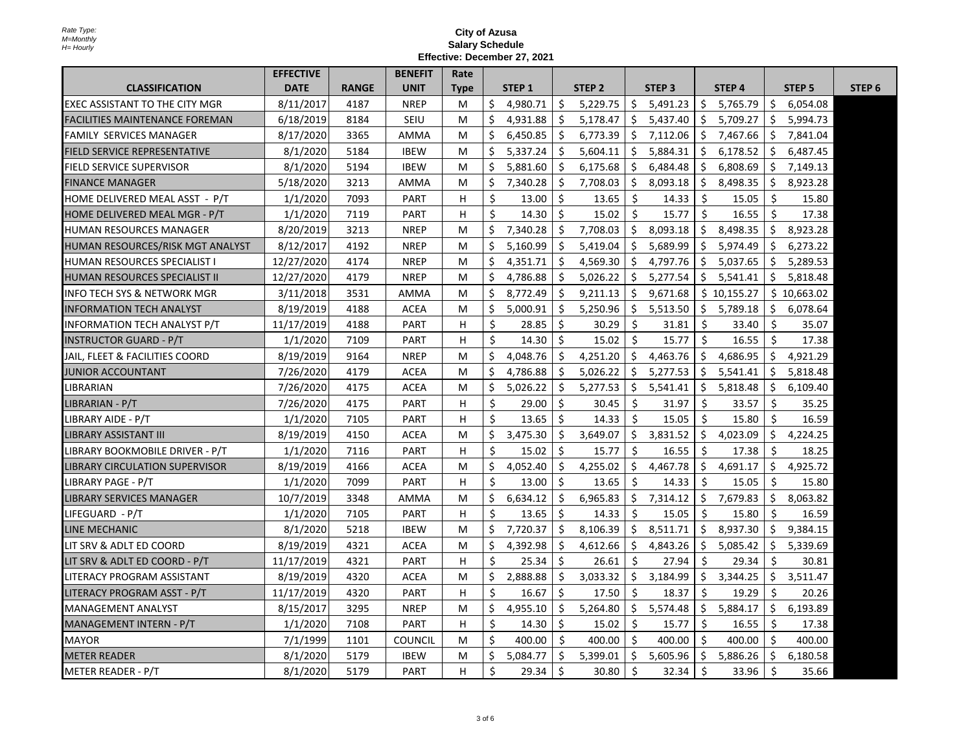|                                        | <b>EFFECTIVE</b> |              | <b>BENEFIT</b> | Rate |              |                   |     |                   |     |                   |    |                   |     |               |                   |
|----------------------------------------|------------------|--------------|----------------|------|--------------|-------------------|-----|-------------------|-----|-------------------|----|-------------------|-----|---------------|-------------------|
| <b>CLASSIFICATION</b>                  | <b>DATE</b>      | <b>RANGE</b> | <b>UNIT</b>    | Type |              | STEP <sub>1</sub> |     | STEP <sub>2</sub> |     | STEP <sub>3</sub> |    | STEP <sub>4</sub> |     | <b>STEP 5</b> | STEP <sub>6</sub> |
| <b>EXEC ASSISTANT TO THE CITY MGR</b>  | 8/11/2017        | 4187         | <b>NREP</b>    | М    | Ś.           | 4,980.71          | Ŝ.  | 5,229.75          | \$  | 5,491.23          | Ŝ. | 5,765.79          | \$  | 6,054.08      |                   |
| FACILITIES MAINTENANCE FOREMAN         | 6/18/2019        | 8184         | SEIU           | M    | \$           | 4,931.88          | \$. | 5,178.47          | \$. | 5,437.40          | \$ | 5,709.27          | Ŝ.  | 5,994.73      |                   |
| <b>FAMILY SERVICES MANAGER</b>         | 8/17/2020        | 3365         | <b>AMMA</b>    | M    | Ŝ.           | 6,450.85          | Ŝ.  | 6,773.39          | Ŝ.  | 7,112.06          | Ŝ. | 7,467.66          | Ŝ.  | 7,841.04      |                   |
| <b>FIELD SERVICE REPRESENTATIVE</b>    | 8/1/2020         | 5184         | <b>IBEW</b>    | М    | Ś.           | 5,337.24          | Ŝ.  | 5,604.11          | Ŝ.  | 5,884.31          | Ŝ. | 6,178.52          | Ś.  | 6,487.45      |                   |
| <b>FIELD SERVICE SUPERVISOR</b>        | 8/1/2020         | 5194         | <b>IBEW</b>    | М    | \$           | 5,881.60          | \$  | 6,175.68          | \$  | 6,484.48          | \$ | 6,808.69          | \$  | 7,149.13      |                   |
| IFINANCE MANAGER                       | 5/18/2020        | 3213         | <b>AMMA</b>    | М    | Ś.           | 7,340.28          | Ś.  | 7,708.03          | \$  | 8,093.18          | Ŝ. | 8,498.35          | Ŝ.  | 8,923.28      |                   |
| HOME DELIVERED MEAL ASST - P/T         | 1/1/2020         | 7093         | <b>PART</b>    | H    | \$           | 13.00             | \$  | 13.65             | \$  | 14.33             | Ŝ. | 15.05             | \$. | 15.80         |                   |
| HOME DELIVERED MEAL MGR - P/T          | 1/1/2020         | 7119         | PART           | H    | \$           | 14.30             | Ŝ.  | 15.02             | Ŝ.  | 15.77             | \$ | 16.55             | Ŝ.  | 17.38         |                   |
| HUMAN RESOURCES MANAGER                | 8/20/2019        | 3213         | <b>NREP</b>    | M    | Ś.           | 7.340.28          | Ŝ.  | 7,708.03          | Ŝ.  | 8.093.18          | Ŝ. | 8.498.35          | Ŝ.  | 8.923.28      |                   |
| HUMAN RESOURCES/RISK MGT ANALYST       | 8/12/2017        | 4192         | <b>NREP</b>    | М    | \$           | 5,160.99          | Ŝ.  | 5,419.04          | \$. | 5,689.99          | \$ | 5,974.49          | \$  | 6,273.22      |                   |
| <b>HUMAN RESOURCES SPECIALIST I</b>    | 12/27/2020       | 4174         | <b>NREP</b>    | M    | \$           | 4,351.71          | \$  | 4,569.30          | \$  | 4,797.76          | Ŝ. | 5,037.65          | \$  | 5,289.53      |                   |
| IHUMAN RESOURCES SPECIALIST II         | 12/27/2020       | 4179         | <b>NREP</b>    | M    | Ŝ.           | 4.786.88          | Ŝ.  | 5,026.22          | Ŝ.  | 5,277.54          | Ŝ. | 5,541.41          | Ś.  | 5,818.48      |                   |
| <b>INFO TECH SYS &amp; NETWORK MGR</b> | 3/11/2018        | 3531         | AMMA           | М    | Ŝ.           | 8,772.49          | Ŝ.  | 9,211.13          | \$  | 9,671.68          |    | \$10,155.27       |     | \$10,663.02   |                   |
| <b>INFORMATION TECH ANALYST</b>        | 8/19/2019        | 4188         | <b>ACEA</b>    | M    | Ŝ.           | 5,000.91          | Ŝ.  | 5,250.96          | \$  | 5,513.50          | Ŝ. | 5,789.18          | Ŝ.  | 6,078.64      |                   |
| <b>INFORMATION TECH ANALYST P/T</b>    | 11/17/2019       | 4188         | PART           | н    | \$           | 28.85             | Ŝ.  | 30.29             | Ŝ   | 31.81             | Ŝ. | 33.40             | Ŝ.  | 35.07         |                   |
| IINSTRUCTOR GUARD - P/T                | 1/1/2020         | 7109         | <b>PART</b>    | Н.   | \$           | 14.30             | Ŝ.  | 15.02             | Ŝ.  | 15.77             | Ŝ. | 16.55             | Ŝ.  | 17.38         |                   |
| JAIL, FLEET & FACILITIES COORD         | 8/19/2019        | 9164         | <b>NREP</b>    | M    | Ŝ.           | 4,048.76          | Ŝ.  | 4,251.20          | \$  | 4,463.76          | Ŝ. | 4,686.95          | Ŝ.  | 4,921.29      |                   |
| JUNIOR ACCOUNTANT                      | 7/26/2020        | 4179         | <b>ACEA</b>    | М    | \$           | 4,786.88          | Ŝ.  | 5,026.22          | \$  | 5,277.53          | \$ | 5,541.41          | \$. | 5,818.48      |                   |
| LIBRARIAN                              | 7/26/2020        | 4175         | <b>ACEA</b>    | М    | Ŝ.           | 5,026.22          | \$  | 5,277.53          | \$  | 5,541.41          | \$ | 5,818.48          | S.  | 6,109.40      |                   |
| LIBRARIAN - P/T                        | 7/26/2020        | 4175         | PART           | H    | Ŝ.           | 29.00             | Ŝ.  | 30.45             | Ŝ.  | 31.97             | Ŝ. | 33.57             | Ŝ.  | 35.25         |                   |
| LIBRARY AIDE - P/T                     | 1/1/2020         | 7105         | PART           | н    | \$           | 13.65             | \$  | 14.33             | \$  | 15.05             | \$ | 15.80             | \$  | 16.59         |                   |
| ILIBRARY ASSISTANT III                 | 8/19/2019        | 4150         | <b>ACEA</b>    | M    | Ŝ.           | 3,475.30          | Ŝ.  | 3,649.07          | \$  | 3,831.52          | Ŝ. | 4,023.09          | \$  | 4,224.25      |                   |
| LIBRARY BOOKMOBILE DRIVER - P/T        | 1/1/2020         | 7116         | <b>PART</b>    | н    | Ŝ.           | 15.02             | Ś   | 15.77             | Ŝ.  | 16.55             | Ŝ. | 17.38             | Ŝ.  | 18.25         |                   |
| <b>LIBRARY CIRCULATION SUPERVISOR</b>  | 8/19/2019        | 4166         | <b>ACEA</b>    | М    | \$           | 4,052.40          | Ŝ.  | 4,255.02          | \$  | 4,467.78          | \$ | 4,691.17          | \$. | 4,925.72      |                   |
| LIBRARY PAGE - P/T                     | 1/1/2020         | 7099         | <b>PART</b>    | н    | $\mathsf{S}$ | 13.00             | Ŝ.  | 13.65             | Ŝ.  | 14.33             | Ŝ. | 15.05             | Ŝ.  | 15.80         |                   |
| <b>LIBRARY SERVICES MANAGER</b>        | 10/7/2019        | 3348         | AMMA           | M    | Ś.           | 6,634.12          | Ŝ.  | 6,965.83          | Ŝ.  | 7,314.12          | Ŝ. | 7,679.83          | Ś.  | 8,063.82      |                   |
| LIFEGUARD - P/T                        | 1/1/2020         | 7105         | <b>PART</b>    | H    | \$           | 13.65             | \$  | 14.33             | \$  | 15.05             | \$ | 15.80             | Ŝ.  | 16.59         |                   |
| LINE MECHANIC                          | 8/1/2020         | 5218         | <b>IBEW</b>    | М    | Ś.           | 7.720.37          | Ŝ.  | 8,106.39          | \$  | 8,511.71          | Ŝ. | 8,937.30          | Ŝ.  | 9,384.15      |                   |
| LIT SRV & ADLT ED COORD                | 8/19/2019        | 4321         | <b>ACEA</b>    | М    | Ś            | 4,392.98          | Ŝ.  | 4,612.66          | \$  | 4,843.26          | Ŝ. | 5,085.42          | S   | 5,339.69      |                   |
| LIT SRV & ADLT ED COORD - P/T          | 11/17/2019       | 4321         | <b>PART</b>    | H    | Ŝ.           | 25.34             | Ŝ.  | 26.61             | Ŝ.  | 27.94             | Ŝ. | 29.34             | Ŝ.  | 30.81         |                   |
| LITERACY PROGRAM ASSISTANT             | 8/19/2019        | 4320         | <b>ACEA</b>    | М    | Ś            | 2,888.88          | Ŝ.  | 3,033.32          | \$  | 3,184.99          | \$ | 3,344.25          | \$  | 3,511.47      |                   |
| ILITERACY PROGRAM ASST - P/T           | 11/17/2019       | 4320         | <b>PART</b>    | Н.   | \$           | 16.67             | Ŝ.  | 17.50             | Ŝ.  | 18.37             | Ŝ. | 19.29             | Ŝ.  | 20.26         |                   |
| MANAGEMENT ANALYST                     | 8/15/2017        | 3295         | <b>NREP</b>    | M    | \$           | 4,955.10          | Ŝ.  | 5,264.80          | \$  | 5,574.48          | \$ | 5,884.17          | \$  | 6,193.89      |                   |
| MANAGEMENT INTERN - P/T                | 1/1/2020         | 7108         | <b>PART</b>    | H    | \$           | 14.30             | Ŝ.  | 15.02             | \$  | 15.77             | \$ | 16.55             | \$  | 17.38         |                   |
| <b>MAYOR</b>                           | 7/1/1999         | 1101         | <b>COUNCIL</b> | М    | \$           | 400.00            | Ŝ.  | 400.00            | Ŝ.  | 400.00            | Ŝ. | 400.00            | Ś.  | 400.00        |                   |
| <b>METER READER</b>                    | 8/1/2020         | 5179         | <b>IBEW</b>    | M    | Ś.           | 5,084.77          | Ŝ.  | 5,399.01          | Ŝ.  | 5,605.96          | Ŝ. | 5,886.26          | Ŝ.  | 6,180.58      |                   |
| METER READER - P/T                     | 8/1/2020         | 5179         | PART           | H    | \$           | 29.34             | Ŝ.  | 30.80             | Ŝ.  | 32.34             | Ŝ. | 33.96             | Ŝ.  | 35.66         |                   |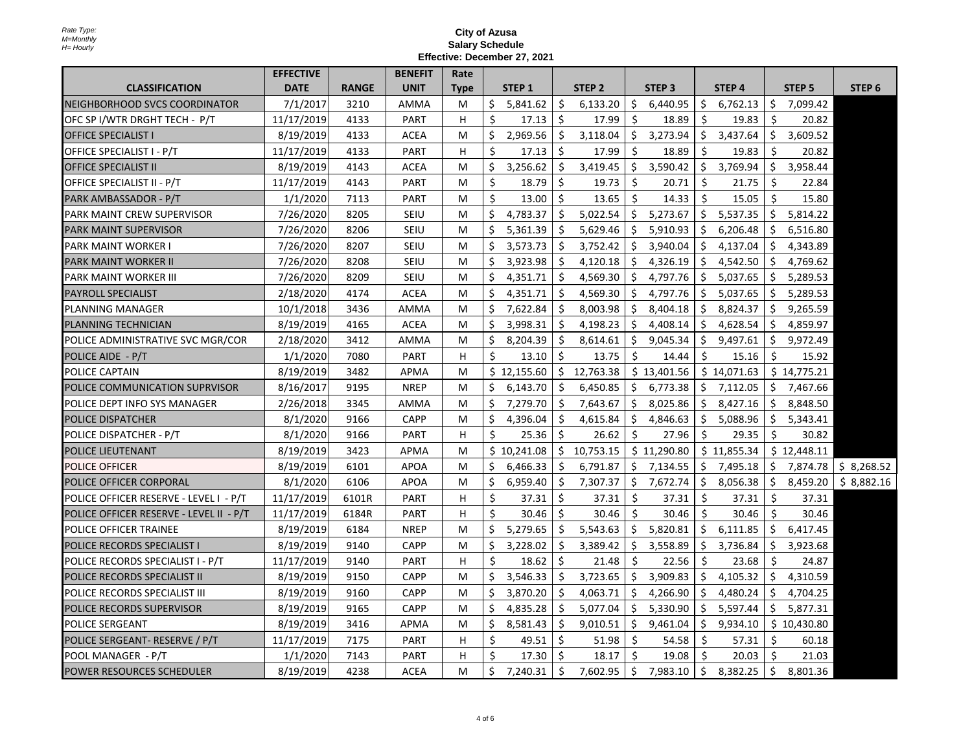|                                         | <b>EFFECTIVE</b> |              | <b>BENEFIT</b> | Rate        |    |                   |         |                   |     |                   |    |                   |    |                   |                   |
|-----------------------------------------|------------------|--------------|----------------|-------------|----|-------------------|---------|-------------------|-----|-------------------|----|-------------------|----|-------------------|-------------------|
| <b>CLASSIFICATION</b>                   | <b>DATE</b>      | <b>RANGE</b> | <b>UNIT</b>    | <b>Type</b> |    | STEP <sub>1</sub> |         | STEP <sub>2</sub> |     | STEP <sub>3</sub> |    | STEP <sub>4</sub> |    | STEP <sub>5</sub> | STEP <sub>6</sub> |
| INEIGHBORHOOD SVCS COORDINATOR          | 7/1/2017         | 3210         | AMMA           | M           | \$ | 5,841.62          | \$      | 6,133.20          | \$  | 6,440.95          | \$ | 6,762.13          | \$ | 7,099.42          |                   |
| OFC SP I/WTR DRGHT TECH - P/T           | 11/17/2019       | 4133         | <b>PART</b>    | н           | Ś. | 17.13             | Ŝ.      | 17.99             | Ŝ.  | 18.89             | Ś  | 19.83             | Ś. | 20.82             |                   |
| <b>OFFICE SPECIALIST I</b>              | 8/19/2019        | 4133         | <b>ACEA</b>    | M           | \$ | 2,969.56          | Ŝ.      | 3,118.04          | \$  | 3,273.94          | Ŝ. | 3,437.64          | \$ | 3,609.52          |                   |
| <b>OFFICE SPECIALIST I - P/T</b>        | 11/17/2019       | 4133         | <b>PART</b>    | н           | \$ | 17.13             | Ŝ.      | 17.99             | Ŝ.  | 18.89             | Ś  | 19.83             | Ŝ. | 20.82             |                   |
| <b>OFFICE SPECIALIST II</b>             | 8/19/2019        | 4143         | <b>ACEA</b>    | M           | \$ | 3,256.62          | Ŝ.      | 3,419.45          | \$  | 3,590.42          | \$ | 3,769.94          | \$ | 3,958.44          |                   |
| OFFICE SPECIALIST II - P/T              | 11/17/2019       | 4143         | <b>PART</b>    | м           | \$ | 18.79             | \$      | 19.73             | S.  | 20.71             | \$ | 21.75             | \$ | 22.84             |                   |
| PARK AMBASSADOR - P/T                   | 1/1/2020         | 7113         | <b>PART</b>    | м           | Ś. | 13.00             | Ŝ.      | 13.65             | Ś.  | 14.33             | Ś. | 15.05             | Ś. | 15.80             |                   |
| PARK MAINT CREW SUPERVISOR              | 7/26/2020        | 8205         | SEIU           | M           | \$ | 4,783.37          | Ŝ.      | 5,022.54          | \$  | 5,273.67          | \$ | 5,537.35          | \$ | 5,814.22          |                   |
| PARK MAINT SUPERVISOR                   | 7/26/2020        | 8206         | SEIU           | M           | \$ | 5,361.39          | Ŝ.      | 5,629.46          | \$  | 5,910.93          | Ŝ. | 6,206.48          | Ŝ  | 6,516.80          |                   |
| IPARK MAINT WORKER I                    | 7/26/2020        | 8207         | SEIU           | M           | \$ | 3,573.73          | Ŝ.      | 3,752.42          | \$  | 3,940.04          | Ŝ. | 4,137.04          | \$ | 4,343.89          |                   |
| PARK MAINT WORKER II                    | 7/26/2020        | 8208         | SEIU           | М           | \$ | 3,923.98          | \$      | 4,120.18          | \$. | 4,326.19          | S. | 4,542.50          | \$ | 4,769.62          |                   |
| IPARK MAINT WORKER III                  | 7/26/2020        | 8209         | SEIU           | M           | \$ | 4,351.71          | $\zeta$ | 4,569.30          | \$  | 4,797.76          | Ŝ  | 5,037.65          | Ŝ  | 5,289.53          |                   |
| PAYROLL SPECIALIST                      | 2/18/2020        | 4174         | <b>ACEA</b>    | M           | Ś. | 4,351.71          | Ŝ.      | 4,569.30          | Ŝ.  | 4,797.76          | Ŝ  | 5,037.65          | Ŝ. | 5,289.53          |                   |
| <b>PLANNING MANAGER</b>                 | 10/1/2018        | 3436         | AMMA           | M           | \$ | 7,622.84          | Ŝ.      | 8,003.98          | \$  | 8,404.18          | S. | 8,824.37          | \$ | 9,265.59          |                   |
| <b>PLANNING TECHNICIAN</b>              | 8/19/2019        | 4165         | ACEA           | M           | \$ | 3,998.31          | Ŝ.      | 4,198.23          | Ŝ.  | 4,408.14          | Ŝ. | 4,628.54          | Ŝ. | 4,859.97          |                   |
| POLICE ADMINISTRATIVE SVC MGR/COR       | 2/18/2020        | 3412         | <b>AMMA</b>    | M           | \$ | 8.204.39          | Ŝ.      | 8,614.61          | Ŝ.  | 9,045.34          | Ŝ. | 9,497.61          | Ŝ. | 9,972.49          |                   |
| POLICE AIDE - P/T                       | 1/1/2020         | 7080         | PART           | н           | \$ | 13.10             | \$      | 13.75             | Ŝ.  | 14.44             | \$ | 15.16             | \$ | 15.92             |                   |
| <b>POLICE CAPTAIN</b>                   | 8/19/2019        | 3482         | APMA           | м           |    | \$12,155.60       | Ŝ.      | 12,763.38         |     | \$13,401.56       |    | \$14,071.63       |    | \$14,775.21       |                   |
| POLICE COMMUNICATION SUPRVISOR          | 8/16/2017        | 9195         | <b>NREP</b>    | M           | \$ | 6,143.70          | Ŝ.      | 6,450.85          | Ŝ.  | 6,773.38          | \$ | 7,112.05          | \$ | 7,467.66          |                   |
| POLICE DEPT INFO SYS MANAGER            | 2/26/2018        | 3345         | AMMA           | M           | \$ | 7,279.70          | Ŝ.      | 7,643.67          | \$  | 8,025.86          | \$ | 8,427.16          | \$ | 8,848.50          |                   |
| IPOLICE DISPATCHER                      | 8/1/2020         | 9166         | CAPP           | м           | \$ | 4,396.04          | Ŝ.      | 4,615.84          | Ŝ   | 4,846.63          | Ŝ. | 5,088.96          | \$ | 5,343.41          |                   |
| POLICE DISPATCHER - P/T                 | 8/1/2020         | 9166         | <b>PART</b>    | н           | Ś. | 25.36             | Ŝ.      | 26.62             | Ŝ.  | 27.96             | Ś. | 29.35             | Ŝ. | 30.82             |                   |
| POLICE LIEUTENANT                       | 8/19/2019        | 3423         | APMA           | М           |    | \$10,241.08       | \$      | 10,753.15         |     | \$11,290.80       |    | \$11,855.34       |    | \$12,448.11       |                   |
| <b>POLICE OFFICER</b>                   | 8/19/2019        | 6101         | <b>APOA</b>    | M           | Ś. | 6,466.33          | Ŝ.      | 6,791.87          | \$  | 7,134.55          | \$ | 7,495.18          | \$ | 7,874.78          | \$8,268.52        |
| <b>POLICE OFFICER CORPORAL</b>          | 8/1/2020         | 6106         | <b>APOA</b>    | M           | \$ | 6,959.40          | Ŝ.      | 7,307.37          | \$  | 7,672.74          | Ŝ. | 8,056.38          | Ŝ. | 8,459.20          | \$8,882.16        |
| POLICE OFFICER RESERVE - LEVEL I - P/T  | 11/17/2019       | 6101R        | <b>PART</b>    | н           | \$ | 37.31             | Ŝ.      | 37.31             | Ŝ.  | 37.31             | Ś. | 37.31             | Ŝ. | 37.31             |                   |
| POLICE OFFICER RESERVE - LEVEL II - P/T | 11/17/2019       | 6184R        | <b>PART</b>    | н           | Ś  | 30.46             | Ŝ.      | 30.46             | Ŝ.  | 30.46             | Ś  | 30.46             | Ś  | 30.46             |                   |
| <b>POLICE OFFICER TRAINEE</b>           | 8/19/2019        | 6184         | <b>NREP</b>    | м           | \$ | 5,279.65          | Ŝ.      | 5,543.63          | \$  | 5,820.81          | \$ | 6,111.85          | \$ | 6,417.45          |                   |
| <b>POLICE RECORDS SPECIALIST I</b>      | 8/19/2019        | 9140         | <b>CAPP</b>    | м           | \$ | 3,228.02          | \$      | 3,389.42          | \$  | 3,558.89          | \$ | 3,736.84          | \$ | 3,923.68          |                   |
| POLICE RECORDS SPECIALIST I - P/T       | 11/17/2019       | 9140         | PART           | н           | Ś  | 18.62             | Ŝ.      | 21.48             | Ŝ.  | 22.56             | Ś  | 23.68             | Ś  | 24.87             |                   |
| <b>POLICE RECORDS SPECIALIST II</b>     | 8/19/2019        | 9150         | <b>CAPP</b>    | M           | Ś. | 3,546.33          | Ŝ.      | 3,723.65          | \$  | 3,909.83          | \$ | 4,105.32          | \$ | 4,310.59          |                   |
| <b>POLICE RECORDS SPECIALIST III</b>    | 8/19/2019        | 9160         | <b>CAPP</b>    | M           | \$ | 3,870.20          | Ŝ.      | 4,063.71          | \$  | 4,266.90          | Ŝ. | 4,480.24          | \$ | 4,704.25          |                   |
| POLICE RECORDS SUPERVISOR               | 8/19/2019        | 9165         | <b>CAPP</b>    | M           | Ś  | 4.835.28          | Ŝ.      | 5,077.04          | Ŝ.  | 5,330.90          | Ŝ. | 5,597.44          | Ŝ. | 5,877.31          |                   |
| POLICE SERGEANT                         | 8/19/2019        | 3416         | APMA           | м           | \$ | 8,581.43          | \$      | 9,010.51          | \$  | 9,461.04          | \$ | 9,934.10          |    | \$10,430.80       |                   |
| POLICE SERGEANT- RESERVE / P/T          | 11/17/2019       | 7175         | <b>PART</b>    | н           | \$ | 49.51             | Ŝ.      | 51.98             | \$  | 54.58             | Ś. | 57.31             | Ŝ. | 60.18             |                   |
| POOL MANAGER - P/T                      | 1/1/2020         | 7143         | <b>PART</b>    | н           | Ś  | 17.30             | Ŝ.      | 18.17             | Ŝ.  | 19.08             | Ś  | 20.03             | Ś  | 21.03             |                   |
| <b>POWER RESOURCES SCHEDULER</b>        | 8/19/2019        | 4238         | <b>ACEA</b>    | M           | \$ | 7,240.31          | Ŝ.      | 7,602.95          | \$  | 7,983.10          | Ŝ. | 8,382.25          | \$ | 8,801.36          |                   |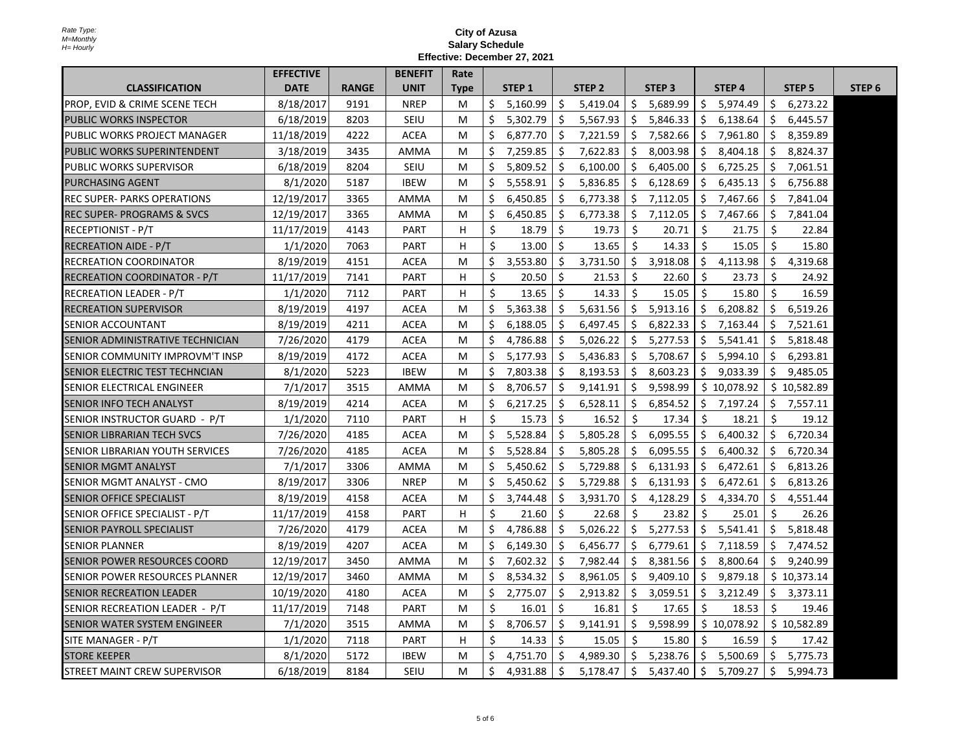|                                          | <b>EFFECTIVE</b> |              | <b>BENEFIT</b> | Rate        |    |                   |    |                   |    |                   |    |                   |     |                   |                   |
|------------------------------------------|------------------|--------------|----------------|-------------|----|-------------------|----|-------------------|----|-------------------|----|-------------------|-----|-------------------|-------------------|
| <b>CLASSIFICATION</b>                    | <b>DATE</b>      | <b>RANGE</b> | <b>UNIT</b>    | <b>Type</b> |    | STEP <sub>1</sub> |    | STEP <sub>2</sub> |    | STEP <sub>3</sub> |    | STEP <sub>4</sub> |     | STEP <sub>5</sub> | STEP <sub>6</sub> |
| <b>PROP, EVID &amp; CRIME SCENE TECH</b> | 8/18/2017        | 9191         | <b>NREP</b>    | M           | Ś. | 5,160.99          | \$ | 5,419.04          | Ŝ. | 5,689.99          | \$ | 5,974.49          | \$  | 6,273.22          |                   |
| PUBLIC WORKS INSPECTOR                   | 6/18/2019        | 8203         | SEIU           | M           | \$ | 5,302.79          | \$ | 5,567.93          | \$ | 5,846.33          | S. | 6,138.64          | \$  | 6,445.57          |                   |
| PUBLIC WORKS PROJECT MANAGER             | 11/18/2019       | 4222         | <b>ACEA</b>    | M           | Ś. | 6.877.70          | Ŝ. | 7,221.59          | Ŝ. | 7,582.66          | Ś. | 7,961.80          | Ŝ.  | 8,359.89          |                   |
| PUBLIC WORKS SUPERINTENDENT              | 3/18/2019        | 3435         | AMMA           | M           | Ś. | 7,259.85          | Ŝ. | 7,622.83          | Ŝ. | 8,003.98          | Ś. | 8,404.18          | Ŝ.  | 8,824.37          |                   |
| <b>PUBLIC WORKS SUPERVISOR</b>           | 6/18/2019        | 8204         | <b>SEIU</b>    | M           | \$ | 5,809.52          | \$ | 6,100.00          | \$ | 6,405.00          | \$ | 6,725.25          | Ŝ.  | 7,061.51          |                   |
| IPURCHASING AGENT                        | 8/1/2020         | 5187         | <b>IBEW</b>    | м           | Ś. | 5,558.91          | Ŝ. | 5,836.85          | Ŝ. | 6,128.69          | Ś. | 6,435.13          | Ŝ.  | 6.756.88          |                   |
| <b>REC SUPER- PARKS OPERATIONS</b>       | 12/19/2017       | 3365         | AMMA           | м           | \$ | 6,450.85          | \$ | 6,773.38          | \$ | 7,112.05          | \$ | 7,467.66          | -\$ | 7,841.04          |                   |
| IREC SUPER- PROGRAMS & SVCS              | 12/19/2017       | 3365         | AMMA           | м           | Ŝ. | 6,450.85          | \$ | 6,773.38          | \$ | 7,112.05          | \$ | 7,467.66          | -\$ | 7,841.04          |                   |
| IRECEPTIONIST - P/T                      | 11/17/2019       | 4143         | PART           | H           | Ś  | 18.79             | Ŝ. | 19.73             | Ŝ. | 20.71             | Ś. | 21.75             | Ŝ   | 22.84             |                   |
| RECREATION AIDE - P/T                    | 1/1/2020         | 7063         | PART           | H           | Ś. | 13.00             | Ŝ. | 13.65             | Ŝ. | 14.33             | \$ | 15.05             | \$  | 15.80             |                   |
| RECREATION COORDINATOR                   | 8/19/2019        | 4151         | <b>ACEA</b>    | M           | \$ | 3,553.80          | \$ | 3,731.50          | \$ | 3,918.08          | \$ | 4,113.98          | \$  | 4,319.68          |                   |
| IRECREATION COORDINATOR - P/T            | 11/17/2019       | 7141         | <b>PART</b>    | H           | Ŝ. | 20.50             | Ŝ. | 21.53             | Ŝ. | 22.60             | Ś  | 23.73             | Ŝ.  | 24.92             |                   |
| <b>RECREATION LEADER - P/T</b>           | 1/1/2020         | 7112         | PART           | H           | Ś. | 13.65             | Ś. | 14.33             | Ŝ. | 15.05             | Ŝ. | 15.80             | Ŝ.  | 16.59             |                   |
| <b>RECREATION SUPERVISOR</b>             | 8/19/2019        | 4197         | <b>ACEA</b>    | м           | Ś. | 5,363.38          | Ŝ. | 5,631.56          | Ŝ. | 5,913.16          | Ś. | 6,208.82          | Ŝ.  | 6,519.26          |                   |
| <b>ISENIOR ACCOUNTANT</b>                | 8/19/2019        | 4211         | <b>ACEA</b>    | M           | Ś. | 6,188.05          | Ŝ. | 6,497.45          | Ś. | 6,822.33          | Ŝ. | 7,163.44          | Ŝ.  | 7,521.61          |                   |
| ISENIOR ADMINISTRATIVE TECHNICIAN        | 7/26/2020        | 4179         | <b>ACEA</b>    | M           | Ś. | 4,786.88          | Ŝ. | 5,026.22          | Ŝ. | 5,277.53          | Ŝ. | 5,541.41          | Ŝ.  | 5,818.48          |                   |
| SENIOR COMMUNITY IMPROVM'T INSP          | 8/19/2019        | 4172         | <b>ACEA</b>    | м           | Ś. | 5,177.93          | Ŝ. | 5,436.83          | \$ | 5,708.67          | Ŝ. | 5,994.10          | Ŝ.  | 6,293.81          |                   |
| SENIOR ELECTRIC TEST TECHNCIAN           | 8/1/2020         | 5223         | <b>IBEW</b>    | M           | Ś. | 7,803.38          | \$ | 8,193.53          | \$ | 8,603.23          | S. | 9,033.39          | S.  | 9,485.05          |                   |
| ISENIOR ELECTRICAL ENGINEER              | 7/1/2017         | 3515         | AMMA           | M           | Ś. | 8,706.57          | \$ | 9,141.91          | \$ | 9,598.99          |    | \$10,078.92       |     | \$10,582.89       |                   |
| <b>SENIOR INFO TECH ANALYST</b>          | 8/19/2019        | 4214         | <b>ACEA</b>    | M           | Ś. | 6,217.25          | Ŝ. | 6,528.11          | Ŝ. | 6,854.52          |    | \$7,197.24        | Ŝ.  | 7,557.11          |                   |
| SENIOR INSTRUCTOR GUARD - P/T            | 1/1/2020         | 7110         | <b>PART</b>    | H           | Ś. | 15.73             | Ŝ. | 16.52             | \$ | 17.34             | Ś. | 18.21             | \$  | 19.12             |                   |
| ISENIOR LIBRARIAN TECH SVCS              | 7/26/2020        | 4185         | <b>ACEA</b>    | м           | Ś. | 5,528.84          | Ś. | 5,805.28          | \$ | 6,095.55          | Ś. | 6,400.32          | \$  | 6,720.34          |                   |
| <b>SENIOR LIBRARIAN YOUTH SERVICES</b>   | 7/26/2020        | 4185         | <b>ACEA</b>    | M           | Ś. | 5,528.84          | Ŝ. | 5,805.28          | \$ | 6,095.55          | Ŝ. | 6,400.32          | Ŝ.  | 6,720.34          |                   |
| ISENIOR MGMT ANALYST                     | 7/1/2017         | 3306         | AMMA           | M           | Ś. | 5,450.62          | Ŝ. | 5,729.88          | \$ | 6,131.93          | Ŝ. | 6,472.61          | \$  | 6,813.26          |                   |
| SENIOR MGMT ANALYST - CMO                | 8/19/2017        | 3306         | <b>NREP</b>    | м           | Ś. | 5.450.62          | Ŝ. | 5,729.88          | Ŝ. | 6,131.93          | Ŝ. | 6,472.61          | Ŝ.  | 6,813.26          |                   |
| <b>SENIOR OFFICE SPECIALIST</b>          | 8/19/2019        | 4158         | <b>ACEA</b>    | M           | Ś. | 3,744.48          | Ŝ. | 3,931.70          | Ŝ. | 4,128.29          | Ś. | 4,334.70          | Ŝ.  | 4,551.44          |                   |
| SENIOR OFFICE SPECIALIST - P/T           | 11/17/2019       | 4158         | <b>PART</b>    | н           | \$ | 21.60             | \$ | 22.68             | \$ | 23.82             | Ś. | 25.01             | Ŝ.  | 26.26             |                   |
| ISENIOR PAYROLL SPECIALIST               | 7/26/2020        | 4179         | <b>ACEA</b>    | м           | Ŝ. | 4,786.88          | Ŝ. | 5,026.22          | Ŝ. | 5,277.53          | Ŝ. | 5,541.41          | Ŝ.  | 5,818.48          |                   |
| ISENIOR PLANNER                          | 8/19/2019        | 4207         | <b>ACEA</b>    | M           | Ś. | 6,149.30          | Ŝ. | 6,456.77          | \$ | 6,779.61          | Ś. | 7,118.59          | Ŝ.  | 7,474.52          |                   |
| <b>SENIOR POWER RESOURCES COORD</b>      | 12/19/2017       | 3450         | AMMA           | м           | Ś. | 7,602.32          | \$ | 7,982.44          | \$ | 8,381.56          | Ŝ. | 8,800.64          | \$  | 9,240.99          |                   |
| SENIOR POWER RESOURCES PLANNER           | 12/19/2017       | 3460         | AMMA           | М           | Ŝ. | 8,534.32          | \$ | 8,961.05          | \$ | 9,409.10          | \$ | 9,879.18          |     | \$10,373.14       |                   |
| SENIOR RECREATION LEADER                 | 10/19/2020       | 4180         | <b>ACEA</b>    | M           | S  | 2,775.07          | \$ | 2,913.82          | \$ | 3,059.51          | S  | 3,212.49          | \$  | 3,373.11          |                   |
| SENIOR RECREATION LEADER - P/T           | 11/17/2019       | 7148         | <b>PART</b>    | м           | Ś. | 16.01             | Ś. | 16.81             | Ŝ. | 17.65             | \$ | 18.53             | \$  | 19.46             |                   |
| ISENIOR WATER SYSTEM ENGINEER            | 7/1/2020         | 3515         | AMMA           | M           | Ś. | 8,706.57          | \$ | 9,141.91          | \$ | 9,598.99          |    | \$10,078.92       |     | \$10,582.89       |                   |
| SITE MANAGER - P/T                       | 1/1/2020         | 7118         | PART           | H           | Ŝ. | 14.33             | Ŝ. | 15.05             | Ŝ. | 15.80             | Ŝ. | 16.59             | Ŝ.  | 17.42             |                   |
| <b>STORE KEEPER</b>                      | 8/1/2020         | 5172         | <b>IBEW</b>    | м           | Ś. | 4,751.70          | Ŝ. | 4,989.30          | Ŝ. | 5,238.76          | Ś. | 5,500.69          | Ŝ.  | 5,775.73          |                   |
| STREET MAINT CREW SUPERVISOR             | 6/18/2019        | 8184         | SEIU           | м           | Ś. | 4,931.88          | Ŝ. | 5,178.47          | \$ | 5,437.40          | \$ | 5,709.27          | Ŝ.  | 5,994.73          |                   |